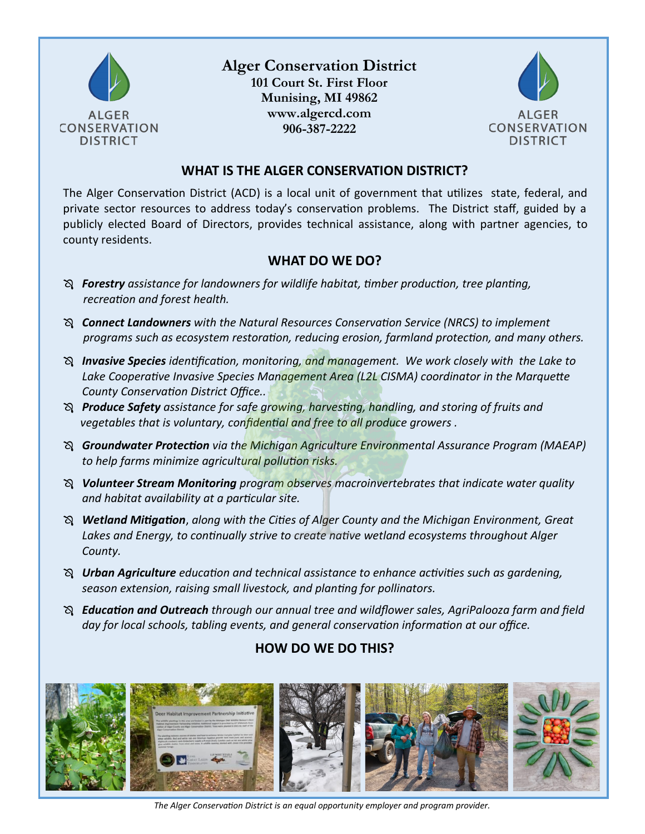

## **Alger Conservation District**

**101 Court St. First Floor Munising, MI 49862 www.algercd.com 906-387-2222**



#### **WHAT IS THE ALGER CONSERVATION DISTRICT?**

The Alger Conservation District (ACD) is a local unit of government that utilizes state, federal, and private sector resources to address today's conservation problems. The District staff, guided by a publicly elected Board of Directors, provides technical assistance, along with partner agencies, to county residents.

#### **WHAT DO WE DO?**

- *Forestry assistance for landowners for wildlife habitat, timber production, tree planting, recreation and forest health.*
- *Connect Landowners with the Natural Resources Conservation Service (NRCS) to implement programs such as ecosystem restoration, reducing erosion, farmland protection, and many others.*
- *Invasive Species identification, monitoring, and management. We work closely with the Lake to Lake Cooperative Invasive Species Management Area (L2L CISMA) coordinator in the Marquette County Conservation District Office..*
- *Produce Safety assistance for safe growing, harvesting, handling, and storing of fruits and vegetables that is voluntary, confidential and free to all produce growers .*
- *Groundwater Protection via the Michigan Agriculture Environmental Assurance Program (MAEAP) to help farms minimize agricultural pollution risks.*
- *Volunteer Stream Monitoring program observes macroinvertebrates that indicate water quality and habitat availability at a particular site.*
- *Wetland Mitigation*, *along with the Cities of Alger County and the Michigan Environment, Great Lakes and Energy, to continually strive to create native wetland ecosystems throughout Alger County.*
- *Urban Agriculture education and technical assistance to enhance activities such as gardening, season extension, raising small livestock, and planting for pollinators.*
- *Education and Outreach through our annual tree and wildflower sales, AgriPalooza farm and field day for local schools, tabling events, and general conservation information at our office.*

### **HOW DO WE DO THIS?**



*The Alger Conservation District is an equal opportunity employer and program provider.*